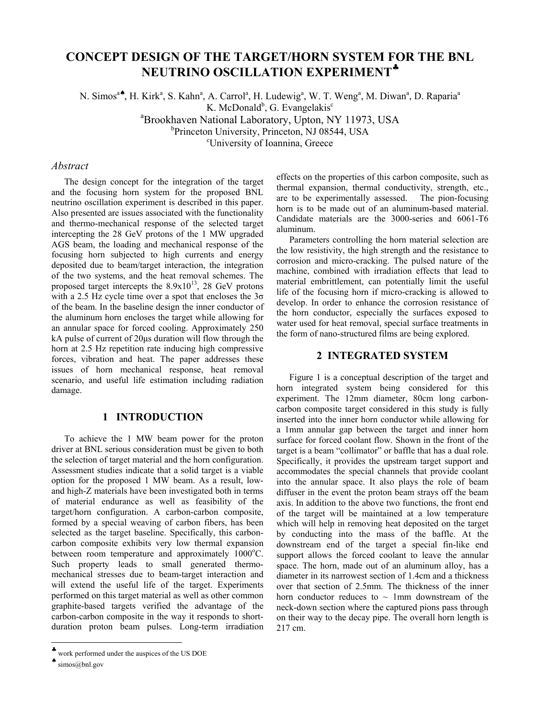# **CONCEPT DESIGN OF THE TARGET/HORN SYSTEM FOR THE BNL NEUTRINO OSCILLATION EXPERIMENT**♣

N. Simos<sup>a</sup><sup>\*</sup>, H. Kirk<sup>a</sup>, S. Kahn<sup>a</sup>, A. Carrol<sup>a</sup>, H. Ludewig<sup>a</sup>, W. T. Weng<sup>a</sup>, M. Diwan<sup>a</sup>, D. Raparia<sup>a</sup> K. McDonald<sup>b</sup>, G. Evangelakis<sup>c</sup> a Brookhaven National Laboratory, Upton, NY 11973, USA b<br>Princeton University, Princeton, NJ 08544, USA University of Ioannina, Greece

## *Abstract*

The design concept for the integration of the target and the focusing horn system for the proposed BNL neutrino oscillation experiment is described in this paper. Also presented are issues associated with the functionality and thermo-mechanical response of the selected target intercepting the 28 GeV protons of the 1 MW upgraded AGS beam, the loading and mechanical response of the focusing horn subjected to high currents and energy deposited due to beam/target interaction, the integration of the two systems, and the heat removal schemes. The proposed target intercepts the  $8.9x10^{13}$ , 28 GeV protons with a 2.5 Hz cycle time over a spot that encloses the  $3\sigma$ of the beam. In the baseline design the inner conductor of the aluminum horn encloses the target while allowing for an annular space for forced cooling. Approximately 250 kA pulse of current of 20µs duration will flow through the horn at 2.5 Hz repetition rate inducing high compressive forces, vibration and heat. The paper addresses these issues of horn mechanical response, heat removal scenario, and useful life estimation including radiation damage.

## **1 INTRODUCTION**

To achieve the 1 MW beam power for the proton driver at BNL serious consideration must be given to both the selection of target material and the horn configuration. Assessment studies indicate that a solid target is a viable option for the proposed 1 MW beam. As a result, lowand high-Z materials have been investigated both in terms of material endurance as well as feasibility of the target/horn configuration. A carbon-carbon composite, formed by a special weaving of carbon fibers, has been selected as the target baseline. Specifically, this carboncarbon composite exhibits very low thermal expansion between room temperature and approximately 1000°C. Such property leads to small generated thermomechanical stresses due to beam-target interaction and will extend the useful life of the target. Experiments performed on this target material as well as other common graphite-based targets verified the advantage of the carbon-carbon composite in the way it responds to shortduration proton beam pulses. Long-term irradiation

 $\overline{\phantom{a}}$ 

effects on the properties of this carbon composite, such as thermal expansion, thermal conductivity, strength, etc., are to be experimentally assessed. The pion-focusing horn is to be made out of an aluminum-based material. Candidate materials are the 3000-series and 6061-T6 aluminum.

Parameters controlling the horn material selection are the low resistivity, the high strength and the resistance to corrosion and micro-cracking. The pulsed nature of the machine, combined with irradiation effects that lead to material embrittlement, can potentially limit the useful life of the focusing horn if micro-cracking is allowed to develop. In order to enhance the corrosion resistance of the horn conductor, especially the surfaces exposed to water used for heat removal, special surface treatments in the form of nano-structured films are being explored.

## **2 INTEGRATED SYSTEM**

Figure 1 is a conceptual description of the target and horn integrated system being considered for this experiment. The 12mm diameter, 80cm long carboncarbon composite target considered in this study is fully inserted into the inner horn conductor while allowing for a 1mm annular gap between the target and inner horn surface for forced coolant flow. Shown in the front of the target is a beam "collimator" or baffle that has a dual role. Specifically, it provides the upstream target support and accommodates the special channels that provide coolant into the annular space. It also plays the role of beam diffuser in the event the proton beam strays off the beam axis. In addition to the above two functions, the front end of the target will be maintained at a low temperature which will help in removing heat deposited on the target by conducting into the mass of the baffle. At the downstream end of the target a special fin-like end support allows the forced coolant to leave the annular space. The horn, made out of an aluminum alloy, has a diameter in its narrowest section of 1.4cm and a thickness over that section of 2.5mm. The thickness of the inner horn conductor reduces to  $\sim$  1mm downstream of the neck-down section where the captured pions pass through on their way to the decay pipe. The overall horn length is 217 cm.

<sup>♣</sup> work performed under the auspices of the US DOE

 $\bullet$  simos@bnl.gov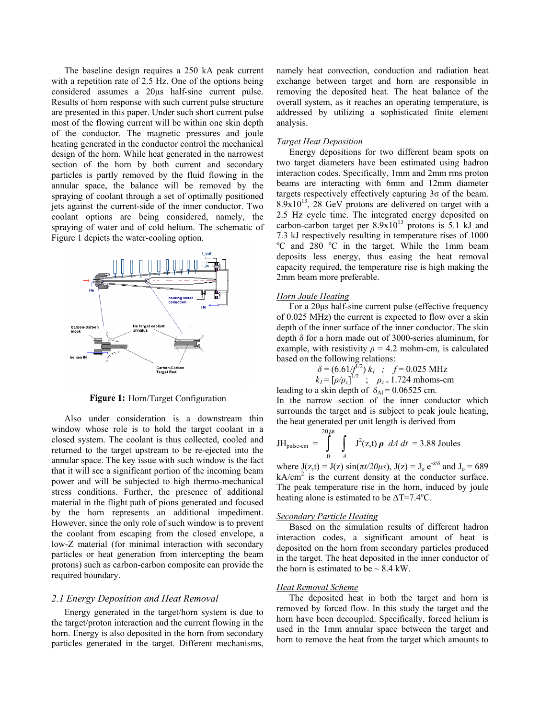The baseline design requires a 250 kA peak current with a repetition rate of 2.5 Hz. One of the options being considered assumes a 20µs half-sine current pulse. Results of horn response with such current pulse structure are presented in this paper. Under such short current pulse most of the flowing current will be within one skin depth of the conductor. The magnetic pressures and joule heating generated in the conductor control the mechanical design of the horn. While heat generated in the narrowest section of the horn by both current and secondary particles is partly removed by the fluid flowing in the annular space, the balance will be removed by the spraying of coolant through a set of optimally positioned jets against the current-side of the inner conductor. Two coolant options are being considered, namely, the spraying of water and of cold helium. The schematic of Figure 1 depicts the water-cooling option.



Figure 1: Horn/Target Configuration

Also under consideration is a downstream thin window whose role is to hold the target coolant in a closed system. The coolant is thus collected, cooled and returned to the target upstream to be re-ejected into the annular space. The key issue with such window is the fact that it will see a significant portion of the incoming beam power and will be subjected to high thermo-mechanical stress conditions. Further, the presence of additional material in the flight path of pions generated and focused by the horn represents an additional impediment. However, since the only role of such window is to prevent the coolant from escaping from the closed envelope, a low-Z material (for minimal interaction with secondary particles or heat generation from intercepting the beam protons) such as carbon-carbon composite can provide the required boundary.

## *2.1 Energy Deposition and Heat Removal*

Energy generated in the target/horn system is due to the target/proton interaction and the current flowing in the horn. Energy is also deposited in the horn from secondary particles generated in the target. Different mechanisms,

namely heat convection, conduction and radiation heat exchange between target and horn are responsible in removing the deposited heat. The heat balance of the overall system, as it reaches an operating temperature, is addressed by utilizing a sophisticated finite element analysis.

#### *Target Heat Deposition*

Energy depositions for two different beam spots on two target diameters have been estimated using hadron interaction codes. Specifically, 1mm and 2mm rms proton beams are interacting with 6mm and 12mm diameter targets respectively effectively capturing  $3\sigma$  of the beam.  $8.9x10^{13}$ , 28 GeV protons are delivered on target with a 2.5 Hz cycle time. The integrated energy deposited on carbon-carbon target per  $8.9x10^{13}$  protons is 5.1 kJ and 7.3 kJ respectively resulting in temperature rises of 1000 <sup>o</sup>C and 280 <sup>o</sup>C in the target. While the 1mm beam deposits less energy, thus easing the heat removal capacity required, the temperature rise is high making the 2mm beam more preferable.

#### *Horn Joule Heating*

For a 20µs half-sine current pulse (effective frequency of 0.025 MHz) the current is expected to flow over a skin depth of the inner surface of the inner conductor. The skin depth δ for a horn made out of 3000-series aluminum, for example, with resistivity  $\rho = 4.2$  mohm-cm, is calculated based on the following relations:

$$
\delta = (6.61/\bar{f}^{1/2}) k_1 ; f = 0.025 \text{ MHz}
$$
  

$$
k_1 = [\rho/\rho_c]^{1/2} ; \rho_c = 1.724 \text{ mhoms-cm}
$$
  
leading to a skin depth of  $\delta_{\text{Al}} = 0.06525 \text{ cm.}$ 

In the narrow section of the inner conductor which surrounds the target and is subject to peak joule heating, the heat generated per unit length is derived from

$$
JH_{\text{pulse-cm}} = \int_{0}^{20\,\mu s} \int_{A} J^2(z,t) \rho \ dA \ dt = 3.88 \text{ Joules}
$$

where  $J(z,t) = J(z) \sin(\pi t/20\mu s)$ ,  $J(z) = J_0 e^{-z/\delta}$  and  $J_0 = 689$  $kA/cm<sup>2</sup>$  is the current density at the conductor surface. The peak temperature rise in the horn, induced by joule heating alone is estimated to be  $\Delta T = 7.4$ <sup>o</sup>C.

#### *Secondary Particle Heating*

Based on the simulation results of different hadron interaction codes, a significant amount of heat is deposited on the horn from secondary particles produced in the target. The heat deposited in the inner conductor of the horn is estimated to be  $\sim$  8.4 kW.

#### *Heat Removal Scheme*

The deposited heat in both the target and horn is removed by forced flow. In this study the target and the horn have been decoupled. Specifically, forced helium is used in the 1mm annular space between the target and horn to remove the heat from the target which amounts to